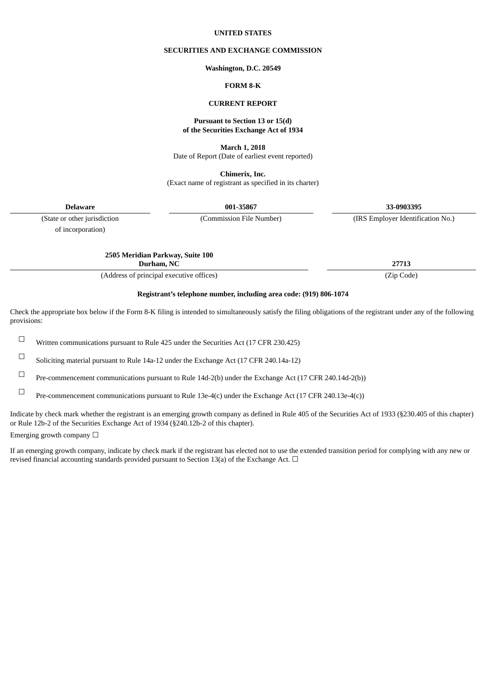#### **UNITED STATES**

#### **SECURITIES AND EXCHANGE COMMISSION**

#### **Washington, D.C. 20549**

## **FORM 8-K**

#### **CURRENT REPORT**

#### **Pursuant to Section 13 or 15(d) of the Securities Exchange Act of 1934**

**March 1, 2018**

Date of Report (Date of earliest event reported)

**Chimerix, Inc.** (Exact name of registrant as specified in its charter)

**Delaware 001-35867 33-0903395**

of incorporation)

(State or other jurisdiction (Commission File Number) (IRS Employer Identification No.)

**2505 Meridian Parkway, Suite 100**

**Durham, NC 27713**

(Address of principal executive offices) (Zip Code)

# **Registrant's telephone number, including area code: (919) 806-1074**

Check the appropriate box below if the Form 8-K filing is intended to simultaneously satisfy the filing obligations of the registrant under any of the following provisions:

☐ Written communications pursuant to Rule <sup>425</sup> under the Securities Act (17 CFR 230.425)

☐ Soliciting material pursuant to Rule 14a-12 under the Exchange Act (17 CFR 240.14a-12)

☐ Pre-commencement communications pursuant to Rule 14d-2(b) under the Exchange Act (17 CFR 240.14d-2(b))

☐ Pre-commencement communications pursuant to Rule 13e-4(c) under the Exchange Act (17 CFR 240.13e-4(c))

Indicate by check mark whether the registrant is an emerging growth company as defined in Rule 405 of the Securities Act of 1933 (§230.405 of this chapter) or Rule 12b-2 of the Securities Exchange Act of 1934 (§240.12b-2 of this chapter).

Emerging growth company  $\Box$ 

If an emerging growth company, indicate by check mark if the registrant has elected not to use the extended transition period for complying with any new or revised financial accounting standards provided pursuant to Section 13(a) of the Exchange Act.  $\Box$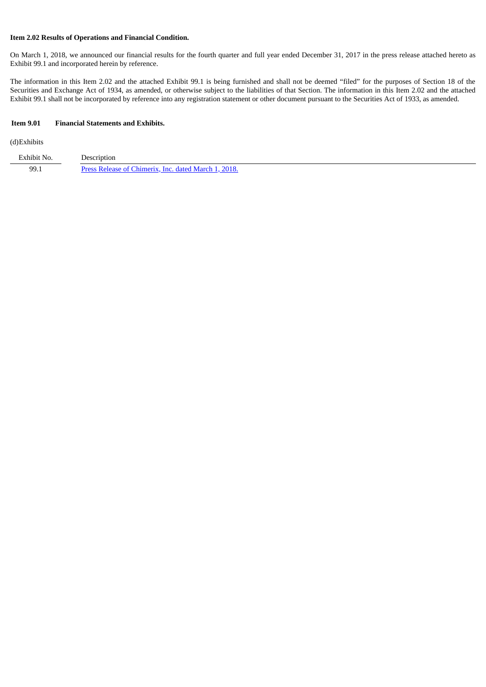## **Item 2.02 Results of Operations and Financial Condition.**

On March 1, 2018, we announced our financial results for the fourth quarter and full year ended December 31, 2017 in the press release attached hereto as Exhibit 99.1 and incorporated herein by reference.

The information in this Item 2.02 and the attached Exhibit 99.1 is being furnished and shall not be deemed "filed" for the purposes of Section 18 of the Securities and Exchange Act of 1934, as amended, or otherwise subject to the liabilities of that Section. The information in this Item 2.02 and the attached Exhibit 99.1 shall not be incorporated by reference into any registration statement or other document pursuant to the Securities Act of 1933, as amended.

#### **Item 9.01 Financial Statements and Exhibits.**

(d)Exhibits

| Exhibit No. | Description                                          |
|-------------|------------------------------------------------------|
| 99.1        | Press Release of Chimerix. Inc. dated March 1, 2018. |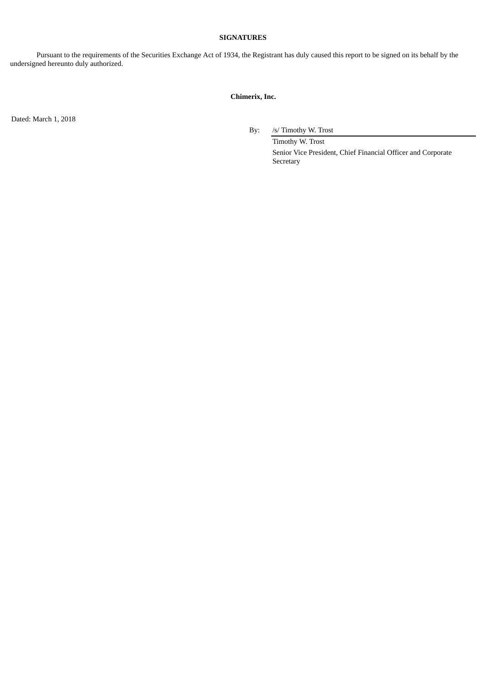## **SIGNATURES**

Pursuant to the requirements of the Securities Exchange Act of 1934, the Registrant has duly caused this report to be signed on its behalf by the undersigned hereunto duly authorized.

# **Chimerix, Inc.**

Dated: March 1, 2018

By: /s/ Timothy W. Trost

Timothy W. Trost Senior Vice President, Chief Financial Officer and Corporate Secretary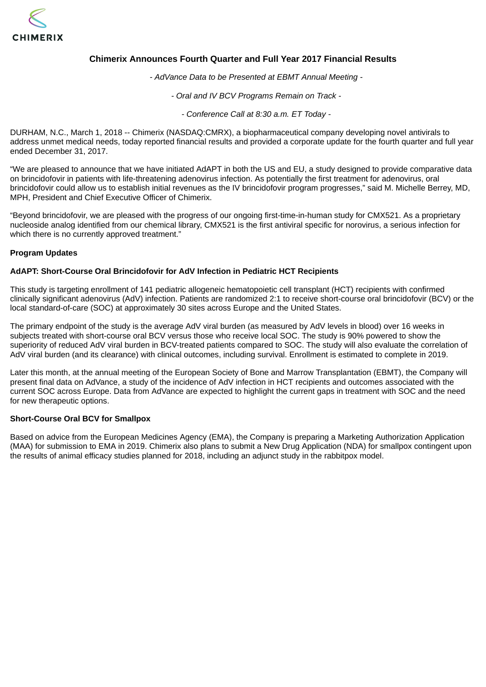<span id="page-3-0"></span>

# **Chimerix Announces Fourth Quarter and Full Year 2017 Financial Results**

*- AdVance Data to be Presented at EBMT Annual Meeting -*

*- Oral and IV BCV Programs Remain on Track -*

*- Conference Call at 8:30 a.m. ET Today -*

DURHAM, N.C., March 1, 2018 -- Chimerix (NASDAQ:CMRX), a biopharmaceutical company developing novel antivirals to address unmet medical needs, today reported financial results and provided a corporate update for the fourth quarter and full year ended December 31, 2017.

"We are pleased to announce that we have initiated AdAPT in both the US and EU, a study designed to provide comparative data on brincidofovir in patients with life-threatening adenovirus infection. As potentially the first treatment for adenovirus, oral brincidofovir could allow us to establish initial revenues as the IV brincidofovir program progresses," said M. Michelle Berrey, MD, MPH, President and Chief Executive Officer of Chimerix.

"Beyond brincidofovir, we are pleased with the progress of our ongoing first-time-in-human study for CMX521. As a proprietary nucleoside analog identified from our chemical library, CMX521 is the first antiviral specific for norovirus, a serious infection for which there is no currently approved treatment."

## **Program Updates**

## **AdAPT: Short-Course Oral Brincidofovir for AdV Infection in Pediatric HCT Recipients**

This study is targeting enrollment of 141 pediatric allogeneic hematopoietic cell transplant (HCT) recipients with confirmed clinically significant adenovirus (AdV) infection. Patients are randomized 2:1 to receive short-course oral brincidofovir (BCV) or the local standard-of-care (SOC) at approximately 30 sites across Europe and the United States.

The primary endpoint of the study is the average AdV viral burden (as measured by AdV levels in blood) over 16 weeks in subjects treated with short-course oral BCV versus those who receive local SOC. The study is 90% powered to show the superiority of reduced AdV viral burden in BCV-treated patients compared to SOC. The study will also evaluate the correlation of AdV viral burden (and its clearance) with clinical outcomes, including survival. Enrollment is estimated to complete in 2019.

Later this month, at the annual meeting of the European Society of Bone and Marrow Transplantation (EBMT), the Company will present final data on AdVance, a study of the incidence of AdV infection in HCT recipients and outcomes associated with the current SOC across Europe. Data from AdVance are expected to highlight the current gaps in treatment with SOC and the need for new therapeutic options.

## **Short-Course Oral BCV for Smallpox**

Based on advice from the European Medicines Agency (EMA), the Company is preparing a Marketing Authorization Application (MAA) for submission to EMA in 2019. Chimerix also plans to submit a New Drug Application (NDA) for smallpox contingent upon the results of animal efficacy studies planned for 2018, including an adjunct study in the rabbitpox model.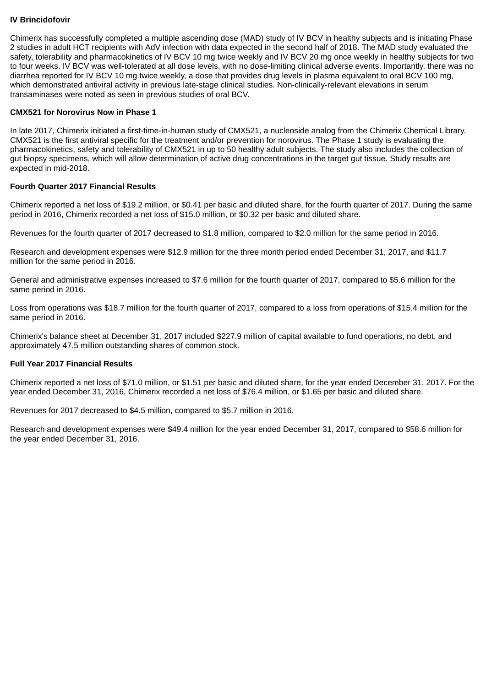# **IV Brincidofovir**

Chimerix has successfully completed a multiple ascending dose (MAD) study of IV BCV in healthy subjects and is initiating Phase 2 studies in adult HCT recipients with AdV infection with data expected in the second half of 2018. The MAD study evaluated the safety, tolerability and pharmacokinetics of IV BCV 10 mg twice weekly and IV BCV 20 mg once weekly in healthy subjects for two to four weeks. IV BCV was well-tolerated at all dose levels, with no dose-limiting clinical adverse events. Importantly, there was no diarrhea reported for IV BCV 10 mg twice weekly, a dose that provides drug levels in plasma equivalent to oral BCV 100 mg, which demonstrated antiviral activity in previous late-stage clinical studies. Non-clinically-relevant elevations in serum transaminases were noted as seen in previous studies of oral BCV.

## **CMX521 for Norovirus Now in Phase 1**

In late 2017, Chimerix initiated a first-time-in-human study of CMX521, a nucleoside analog from the Chimerix Chemical Library. CMX521 is the first antiviral specific for the treatment and/or prevention for norovirus. The Phase 1 study is evaluating the pharmacokinetics, safety and tolerability of CMX521 in up to 50 healthy adult subjects. The study also includes the collection of gut biopsy specimens, which will allow determination of active drug concentrations in the target gut tissue. Study results are expected in mid-2018.

## **Fourth Quarter 2017 Financial Results**

Chimerix reported a net loss of \$19.2 million, or \$0.41 per basic and diluted share, for the fourth quarter of 2017. During the same period in 2016, Chimerix recorded a net loss of \$15.0 million, or \$0.32 per basic and diluted share.

Revenues for the fourth quarter of 2017 decreased to \$1.8 million, compared to \$2.0 million for the same period in 2016.

Research and development expenses were \$12.9 million for the three month period ended December 31, 2017, and \$11.7 million for the same period in 2016.

General and administrative expenses increased to \$7.6 million for the fourth quarter of 2017, compared to \$5.6 million for the same period in 2016.

Loss from operations was \$18.7 million for the fourth quarter of 2017, compared to a loss from operations of \$15.4 million for the same period in 2016.

Chimerix's balance sheet at December 31, 2017 included \$227.9 million of capital available to fund operations, no debt, and approximately 47.5 million outstanding shares of common stock.

## **Full Year 2017 Financial Results**

Chimerix reported a net loss of \$71.0 million, or \$1.51 per basic and diluted share, for the year ended December 31, 2017. For the year ended December 31, 2016, Chimerix recorded a net loss of \$76.4 million, or \$1.65 per basic and diluted share.

Revenues for 2017 decreased to \$4.5 million, compared to \$5.7 million in 2016.

Research and development expenses were \$49.4 million for the year ended December 31, 2017, compared to \$58.6 million for the year ended December 31, 2016.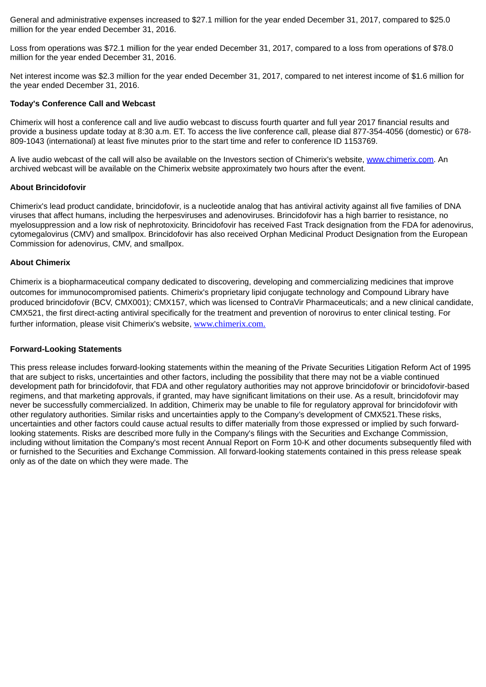General and administrative expenses increased to \$27.1 million for the year ended December 31, 2017, compared to \$25.0 million for the year ended December 31, 2016.

Loss from operations was \$72.1 million for the year ended December 31, 2017, compared to a loss from operations of \$78.0 million for the year ended December 31, 2016.

Net interest income was \$2.3 million for the year ended December 31, 2017, compared to net interest income of \$1.6 million for the year ended December 31, 2016.

## **Today's Conference Call and Webcast**

Chimerix will host a conference call and live audio webcast to discuss fourth quarter and full year 2017 financial results and provide a business update today at 8:30 a.m. ET. To access the live conference call, please dial 877-354-4056 (domestic) or 678- 809-1043 (international) at least five minutes prior to the start time and refer to conference ID 1153769.

A live audio webcast of the call will also be available on the Investors section of Chimerix's website, www.chimerix.com. An archived webcast will be available on the Chimerix website approximately two hours after the event.

#### **About Brincidofovir**

Chimerix's lead product candidate, brincidofovir, is a nucleotide analog that has antiviral activity against all five families of DNA viruses that affect humans, including the herpesviruses and adenoviruses. Brincidofovir has a high barrier to resistance, no myelosuppression and a low risk of nephrotoxicity. Brincidofovir has received Fast Track designation from the FDA for adenovirus, cytomegalovirus (CMV) and smallpox. Brincidofovir has also received Orphan Medicinal Product Designation from the European Commission for adenovirus, CMV, and smallpox.

#### **About Chimerix**

Chimerix is a biopharmaceutical company dedicated to discovering, developing and commercializing medicines that improve outcomes for immunocompromised patients. Chimerix's proprietary lipid conjugate technology and Compound Library have produced brincidofovir (BCV, CMX001); CMX157, which was licensed to ContraVir Pharmaceuticals; and a new clinical candidate, CMX521, the first direct-acting antiviral specifically for the treatment and prevention of norovirus to enter clinical testing. For further information, please visit Chimerix's website, www.chimerix.com.

#### **Forward-Looking Statements**

This press release includes forward-looking statements within the meaning of the Private Securities Litigation Reform Act of 1995 that are subject to risks, uncertainties and other factors, including the possibility that there may not be a viable continued development path for brincidofovir, that FDA and other regulatory authorities may not approve brincidofovir or brincidofovir-based regimens, and that marketing approvals, if granted, may have significant limitations on their use. As a result, brincidofovir may never be successfully commercialized. In addition, Chimerix may be unable to file for regulatory approval for brincidofovir with other regulatory authorities. Similar risks and uncertainties apply to the Company's development of CMX521.These risks, uncertainties and other factors could cause actual results to differ materially from those expressed or implied by such forwardlooking statements. Risks are described more fully in the Company's filings with the Securities and Exchange Commission, including without limitation the Company's most recent Annual Report on Form 10-K and other documents subsequently filed with or furnished to the Securities and Exchange Commission. All forward-looking statements contained in this press release speak only as of the date on which they were made. The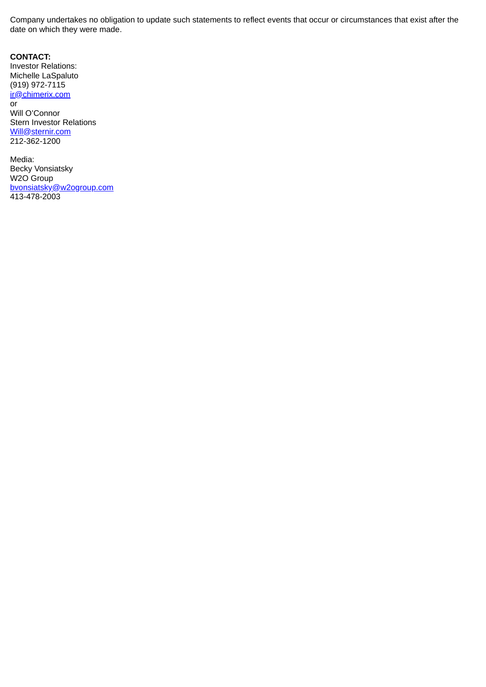Company undertakes no obligation to update such statements to reflect events that occur or circumstances that exist after the date on which they were made.

**CONTACT:** Investor Relations: Michelle LaSpaluto (919) 972-7115 ir@chimerix.com or Will O'Connor Stern Investor Relations Will@sternir.com 212-362-1200

Media: Becky Vonsiatsky W2O Group bvonsiatsky@w2ogroup.com 413-478-2003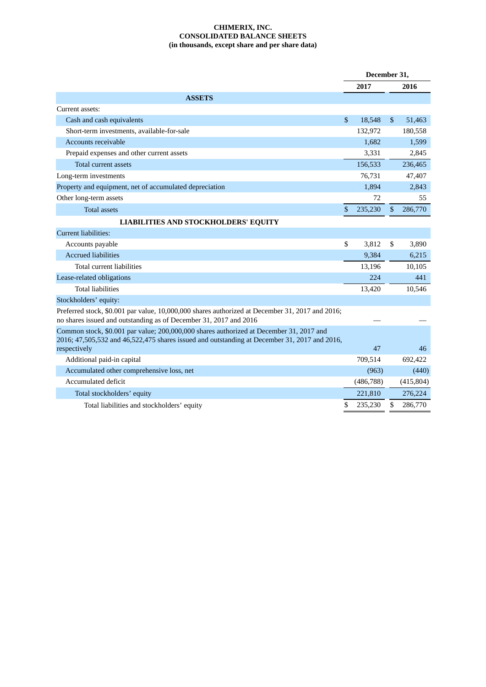# **CHIMERIX, INC. CONSOLIDATED BALANCE SHEETS (in thousands, except share and per share data)**

|                                                                                                                                                                                         |    | December 31, |                |            |  |
|-----------------------------------------------------------------------------------------------------------------------------------------------------------------------------------------|----|--------------|----------------|------------|--|
|                                                                                                                                                                                         |    |              |                | 2016       |  |
| <b>ASSETS</b>                                                                                                                                                                           |    |              |                |            |  |
| Current assets:                                                                                                                                                                         |    |              |                |            |  |
| Cash and cash equivalents                                                                                                                                                               |    | 18,548       | $\mathfrak{s}$ | 51,463     |  |
| Short-term investments, available-for-sale                                                                                                                                              |    | 132,972      |                | 180,558    |  |
| Accounts receivable                                                                                                                                                                     |    | 1,682        |                | 1,599      |  |
| Prepaid expenses and other current assets                                                                                                                                               |    | 3,331        |                | 2,845      |  |
| <b>Total current assets</b>                                                                                                                                                             |    | 156,533      |                | 236,465    |  |
| Long-term investments                                                                                                                                                                   |    | 76,731       |                | 47,407     |  |
| Property and equipment, net of accumulated depreciation                                                                                                                                 |    | 1,894        |                | 2,843      |  |
| Other long-term assets                                                                                                                                                                  |    | 72           |                | 55         |  |
| <b>Total assets</b>                                                                                                                                                                     | \$ | 235,230      | \$             | 286,770    |  |
| <b>LIABILITIES AND STOCKHOLDERS' EQUITY</b>                                                                                                                                             |    |              |                |            |  |
| Current liabilities:                                                                                                                                                                    |    |              |                |            |  |
| Accounts payable                                                                                                                                                                        | \$ | 3,812        | \$             | 3,890      |  |
| <b>Accrued liabilities</b>                                                                                                                                                              |    | 9,384        |                | 6,215      |  |
| <b>Total current liabilities</b>                                                                                                                                                        |    | 13,196       |                | 10,105     |  |
| Lease-related obligations                                                                                                                                                               |    | 224          |                | 441        |  |
| <b>Total liabilities</b>                                                                                                                                                                |    | 13,420       |                | 10,546     |  |
| Stockholders' equity:                                                                                                                                                                   |    |              |                |            |  |
| Preferred stock, \$0.001 par value, 10,000,000 shares authorized at December 31, 2017 and 2016;<br>no shares issued and outstanding as of December 31, 2017 and 2016                    |    |              |                |            |  |
| Common stock, \$0.001 par value; 200,000,000 shares authorized at December 31, 2017 and<br>2016; 47,505,532 and 46,522,475 shares issued and outstanding at December 31, 2017 and 2016, |    |              |                |            |  |
| respectively                                                                                                                                                                            |    | 47           |                | 46         |  |
| Additional paid-in capital                                                                                                                                                              |    | 709,514      |                | 692,422    |  |
| Accumulated other comprehensive loss, net                                                                                                                                               |    | (963)        |                | (440)      |  |
| Accumulated deficit                                                                                                                                                                     |    | (486, 788)   |                | (415, 804) |  |
| Total stockholders' equity                                                                                                                                                              |    | 221,810      |                | 276,224    |  |
| Total liabilities and stockholders' equity                                                                                                                                              |    | 235,230      | \$             | 286,770    |  |